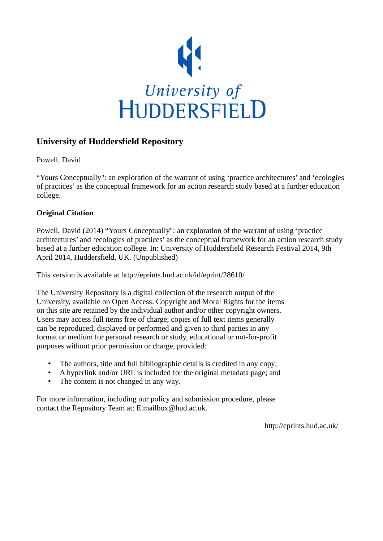

#### **University of Huddersfield Repository**

Powell, David

"Yours Conceptually": an exploration of the warrant of using 'practice architectures' and 'ecologies of practices' as the conceptual framework for an action research study based at a further education college.

#### **Original Citation**

Powell, David (2014) "Yours Conceptually": an exploration of the warrant of using 'practice architectures' and 'ecologies of practices' as the conceptual framework for an action research study based at a further education college. In: University of Huddersfield Research Festival 2014, 9th April 2014, Huddersfield, UK. (Unpublished)

This version is available at http://eprints.hud.ac.uk/id/eprint/28610/

The University Repository is a digital collection of the research output of the University, available on Open Access. Copyright and Moral Rights for the items on this site are retained by the individual author and/or other copyright owners. Users may access full items free of charge; copies of full text items generally can be reproduced, displayed or performed and given to third parties in any format or medium for personal research or study, educational or not-for-profit purposes without prior permission or charge, provided:

- The authors, title and full bibliographic details is credited in any copy;
- A hyperlink and/or URL is included for the original metadata page; and
- The content is not changed in any way.

For more information, including our policy and submission procedure, please contact the Repository Team at: E.mailbox@hud.ac.uk.

http://eprints.hud.ac.uk/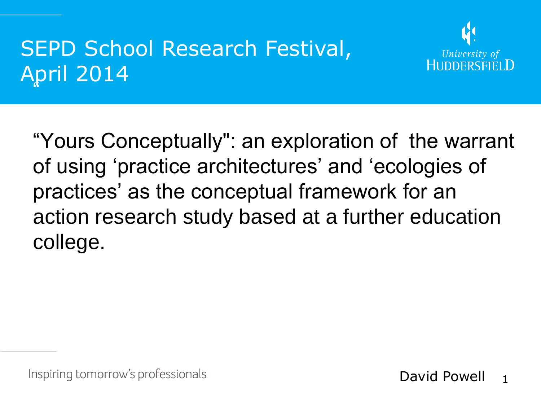#### .<br>K SEPD School Research Festival, April 2014



"Yours Conceptually": an exploration of the warrant of using 'practice architectures' and 'ecologies of practices' as the conceptual framework for an action research study based at a further education college.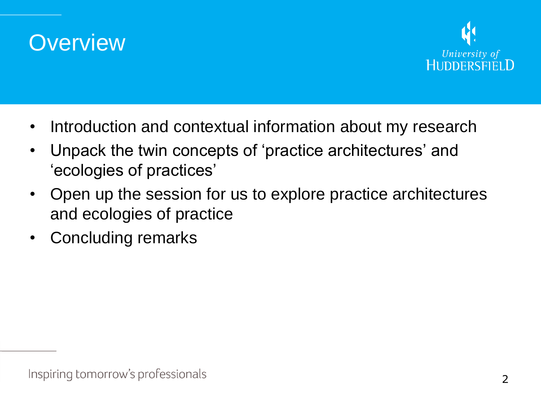



- Introduction and contextual information about my research
- Unpack the twin concepts of 'practice architectures' and 'ecologies of practices'
- Open up the session for us to explore practice architectures and ecologies of practice
- Concluding remarks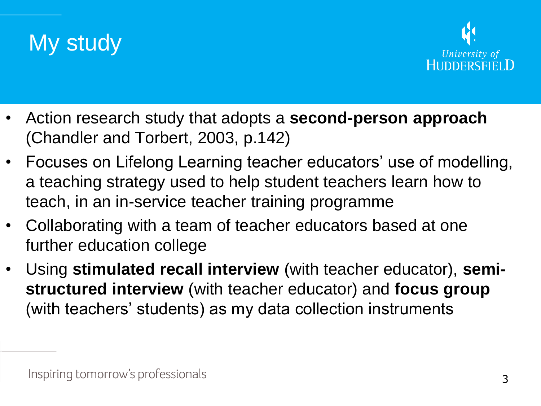



- Action research study that adopts a **second-person approach**  (Chandler and Torbert, 2003, p.142)
- Focuses on Lifelong Learning teacher educators' use of modelling, a teaching strategy used to help student teachers learn how to teach, in an in-service teacher training programme
- Collaborating with a team of teacher educators based at one further education college
- Using **stimulated recall interview** (with teacher educator), **semistructured interview** (with teacher educator) and **focus group**  (with teachers' students) as my data collection instruments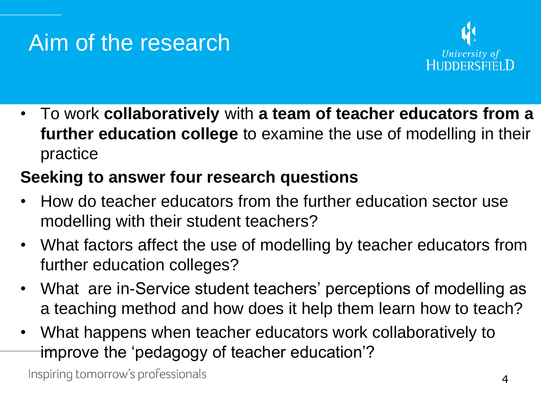#### Aim of the research



• To work **collaboratively** with **a team of teacher educators from a further education college** to examine the use of modelling in their practice

#### **Seeking to answer four research questions**

- How do teacher educators from the further education sector use modelling with their student teachers?
- What factors affect the use of modelling by teacher educators from further education colleges?
- What are in-Service student teachers' perceptions of modelling as a teaching method and how does it help them learn how to teach?
- What happens when teacher educators work collaboratively to improve the 'pedagogy of teacher education'?

Inspiring tomorrow's professionals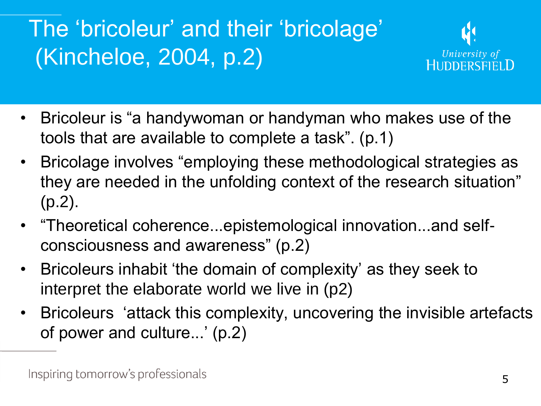# The 'bricoleur' and their 'bricolage' (Kincheloe, 2004, p.2)



- Bricoleur is "a handywoman or handyman who makes use of the tools that are available to complete a task". (p.1)
- Bricolage involves "employing these methodological strategies as they are needed in the unfolding context of the research situation" (p.2).
- "Theoretical coherence...epistemological innovation...and selfconsciousness and awareness" (p.2)
- Bricoleurs inhabit 'the domain of complexity' as they seek to interpret the elaborate world we live in (p2)
- Bricoleurs 'attack this complexity, uncovering the invisible artefacts of power and culture...' (p.2)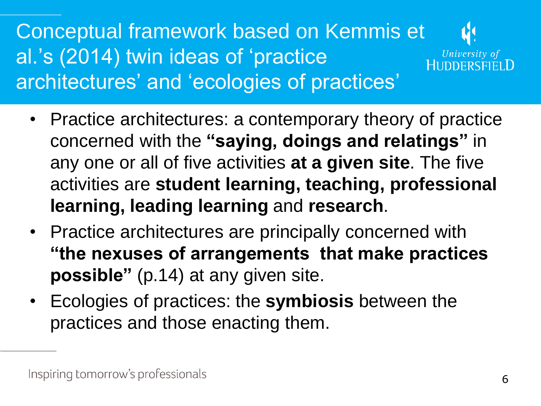Conceptual framework based on Kemmis et al.'s (2014) twin ideas of 'practice architectures' and 'ecologies of practices'



- Practice architectures: a contemporary theory of practice concerned with the **"saying, doings and relatings"** in any one or all of five activities **at a given site**. The five activities are **student learning, teaching, professional learning, leading learning** and **research**.
- Practice architectures are principally concerned with **"the nexuses of arrangements that make practices possible"** (p.14) at any given site.
- Ecologies of practices: the **symbiosis** between the practices and those enacting them.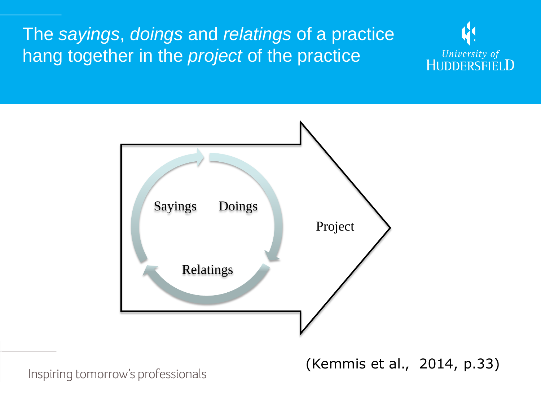#### The *sayings*, *doings* and *relatings* of a practice hang together in the *project* of the practice





Inspiring tomorrow's professionals

(Kemmis et al., 2014, p.33)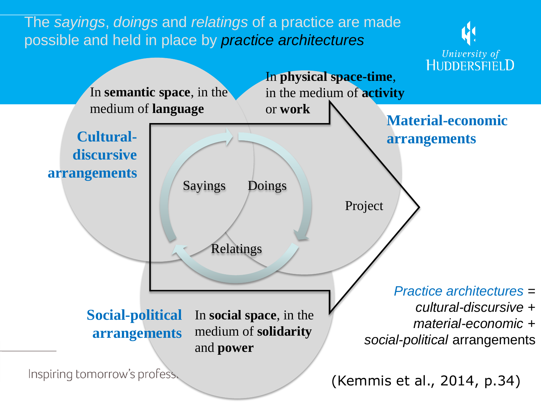The *sayings*, *doings* and *relatings* of a practice are made possible and held in place by *practice architectures*



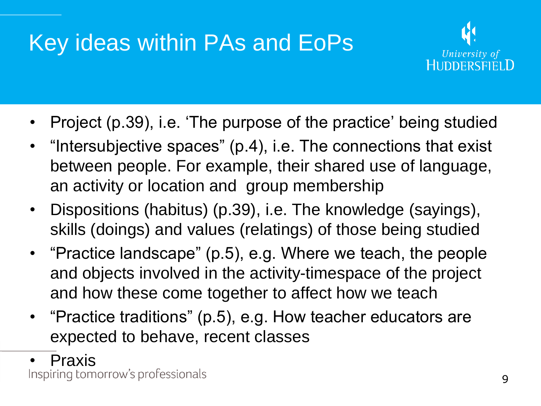### Key ideas within PAs and EoPs



- Project (p.39), i.e. 'The purpose of the practice' being studied
- "Intersubjective spaces" (p.4), i.e. The connections that exist between people. For example, their shared use of language, an activity or location and group membership
- Dispositions (habitus) (p.39), i.e. The knowledge (sayings), skills (doings) and values (relatings) of those being studied
- "Practice landscape" (p.5), e.g. Where we teach, the people and objects involved in the activity-timespace of the project and how these come together to affect how we teach
- "Practice traditions" (p.5), e.g. How teacher educators are expected to behave, recent classes
- 

• Praxis<br>Inspiring tomorrow's professionals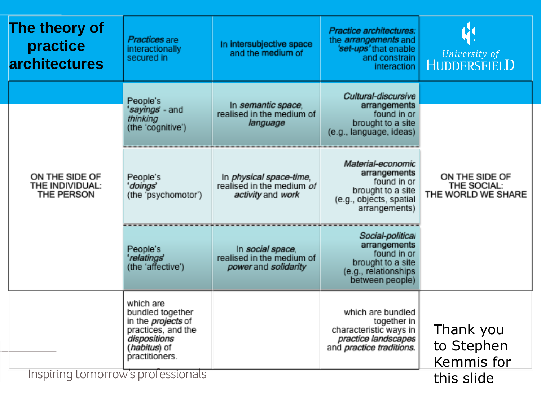| The theory of<br>practice<br><b>architectures</b> | Practices are<br>interactionally<br>secured in                                                                                     | In intersubjective space<br>and the medium of                             | Practice architectures:<br>the <i>arrangements</i> and<br>'set-ups' that enable<br>and constrain<br>interaction       | University of<br>HUDDERSFIELD                       |
|---------------------------------------------------|------------------------------------------------------------------------------------------------------------------------------------|---------------------------------------------------------------------------|-----------------------------------------------------------------------------------------------------------------------|-----------------------------------------------------|
|                                                   | People's<br>' <i>sayings</i> ' - and<br>thinking<br>(the 'cognitive')                                                              | In semantic space,<br>realised in the medium of<br>language               | Cultural-discursive<br>arrangements<br>found in or<br>brought to a site<br>(e.g., language, ideas)                    |                                                     |
| ON THE SIDE OF<br>THE INDIVIDUAL:<br>THE PERSON   |                                                                                                                                    |                                                                           |                                                                                                                       | ON THE SIDE OF<br>THE SOCIAL:<br>THE WORLD WE SHARE |
|                                                   | People's<br>'doings'<br>(the 'psychomotor')                                                                                        | In physical space-time,<br>realised in the medium of<br>activity and work | Material-economic<br>arrangements<br>found in or<br>brought to a site<br>(e.g., objects, spatial<br>arrangements)     |                                                     |
|                                                   | People's<br>'relatings'<br>(the 'affective')                                                                                       | In social space,<br>realised in the medium of<br>power and solidarity     | Social-political<br>arrangements<br>found in or<br>brought to a site<br>(e.g., relationships<br>between people)       |                                                     |
|                                                   | which are<br>bundled together<br>in the <i>projects</i> of<br>practices, and the<br>dispositions<br>(habitus) of<br>practitioners. |                                                                           | which are bundled<br>together in<br>characteristic ways in<br>practice landscapes<br>and <i>practice traditions</i> . | Thank you<br>to Stephen<br>Kemmis for               |
| Inspiring tomorrow's professionals                |                                                                                                                                    |                                                                           |                                                                                                                       | this slide                                          |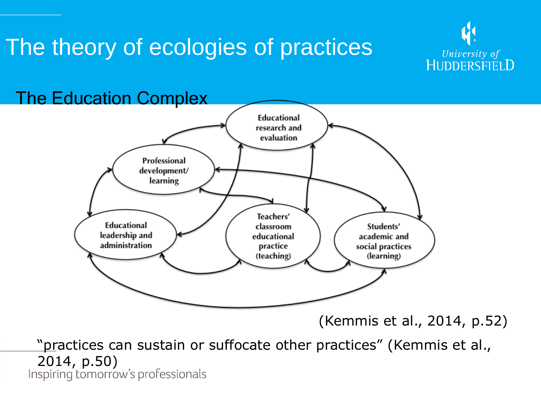### The theory of ecologies of practices



The Education Complex **Educational** research and evaluation Professional development/ learning Teachers' Educational classroom Students' leadership and educational academic and administration practice social practices (learning) (teaching)

(Kemmis et al., 2014, p.52)

"practices can sustain or suffocate other practices" (Kemmis et al., 2014, p.50)<br>Inspiring tomorrow's professionals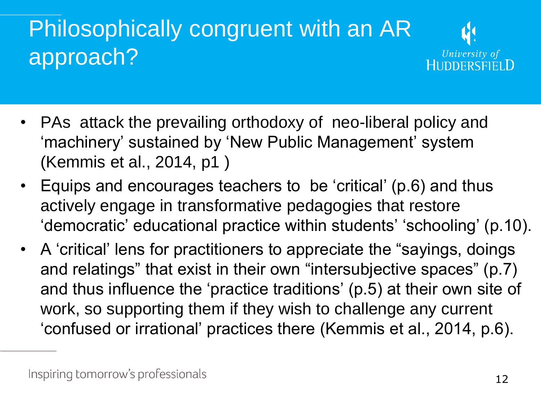# Philosophically congruent with an AR approach?



- PAs attack the prevailing orthodoxy of neo-liberal policy and 'machinery' sustained by 'New Public Management' system (Kemmis et al., 2014, p1 )
- Equips and encourages teachers to be 'critical' (p.6) and thus actively engage in transformative pedagogies that restore 'democratic' educational practice within students' 'schooling' (p.10).
- A 'critical' lens for practitioners to appreciate the "sayings, doings and relatings" that exist in their own "intersubjective spaces" (p.7) and thus influence the 'practice traditions' (p.5) at their own site of work, so supporting them if they wish to challenge any current 'confused or irrational' practices there (Kemmis et al., 2014, p.6).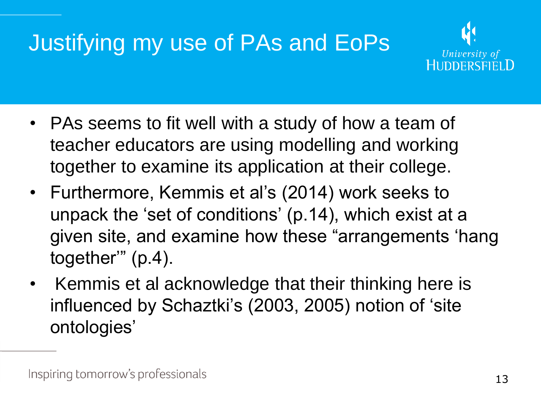## Justifying my use of PAs and EoPs



- PAs seems to fit well with a study of how a team of teacher educators are using modelling and working together to examine its application at their college.
- Furthermore, Kemmis et al's (2014) work seeks to unpack the 'set of conditions' (p.14), which exist at a given site, and examine how these "arrangements 'hang together'" (p.4).
- Kemmis et al acknowledge that their thinking here is influenced by Schaztki's (2003, 2005) notion of 'site ontologies'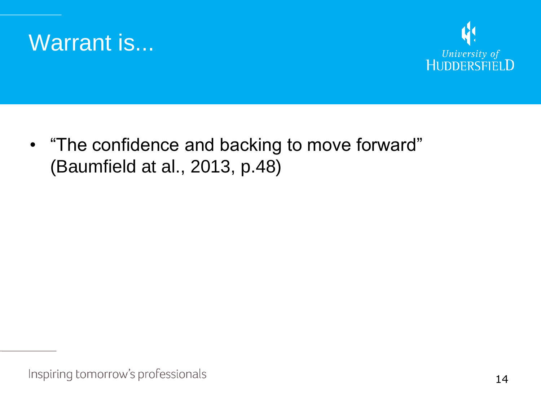



• "The confidence and backing to move forward" (Baumfield at al., 2013, p.48)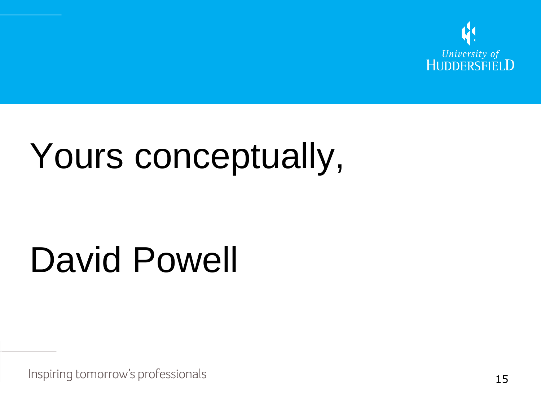

# Yours conceptually,

# David Powell

Inspiring tomorrow's professionals